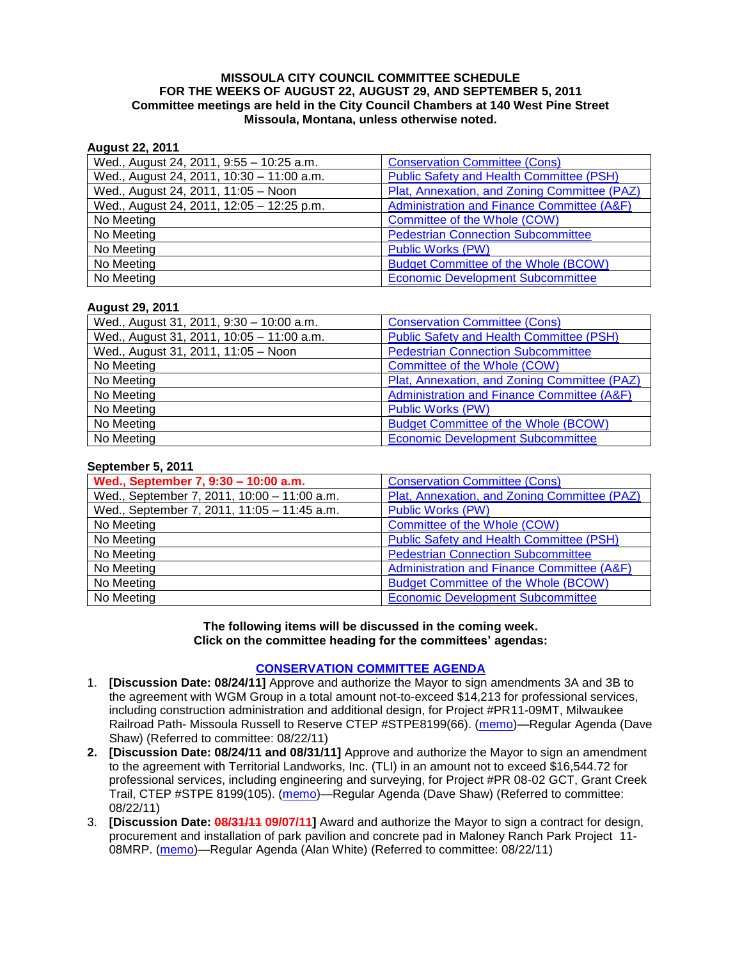#### **MISSOULA CITY COUNCIL COMMITTEE SCHEDULE FOR THE WEEKS OF AUGUST 22, AUGUST 29, AND SEPTEMBER 5, 2011 Committee meetings are held in the City Council Chambers at 140 West Pine Street Missoula, Montana, unless otherwise noted.**

### **August 22, 2011**

| Wed., August 24, 2011, 9:55 - 10:25 a.m.  | <b>Conservation Committee (Cons)</b>            |
|-------------------------------------------|-------------------------------------------------|
| Wed., August 24, 2011, 10:30 - 11:00 a.m. | <b>Public Safety and Health Committee (PSH)</b> |
| Wed., August 24, 2011, 11:05 - Noon       | Plat, Annexation, and Zoning Committee (PAZ)    |
| Wed., August 24, 2011, 12:05 - 12:25 p.m. | Administration and Finance Committee (A&F)      |
| No Meeting                                | Committee of the Whole (COW)                    |
| No Meeting                                | <b>Pedestrian Connection Subcommittee</b>       |
| No Meeting                                | <b>Public Works (PW)</b>                        |
| No Meeting                                | <b>Budget Committee of the Whole (BCOW)</b>     |
| No Meeting                                | <b>Economic Development Subcommittee</b>        |

#### **August 29, 2011**

| Wed., August 31, 2011, 9:30 - 10:00 a.m.  | <b>Conservation Committee (Cons)</b>            |
|-------------------------------------------|-------------------------------------------------|
| Wed., August 31, 2011, 10:05 - 11:00 a.m. | <b>Public Safety and Health Committee (PSH)</b> |
| Wed., August 31, 2011, 11:05 - Noon       | <b>Pedestrian Connection Subcommittee</b>       |
| No Meeting                                | Committee of the Whole (COW)                    |
| No Meeting                                | Plat, Annexation, and Zoning Committee (PAZ)    |
| No Meeting                                | Administration and Finance Committee (A&F)      |
| No Meeting                                | <b>Public Works (PW)</b>                        |
| No Meeting                                | <b>Budget Committee of the Whole (BCOW)</b>     |
| No Meeting                                | <b>Economic Development Subcommittee</b>        |

| September 5, 2011                           |                                                 |
|---------------------------------------------|-------------------------------------------------|
| Wed., September 7, 9:30 - 10:00 a.m.        | <b>Conservation Committee (Cons)</b>            |
| Wed., September 7, 2011, 10:00 - 11:00 a.m. | Plat, Annexation, and Zoning Committee (PAZ)    |
| Wed., September 7, 2011, 11:05 - 11:45 a.m. | <b>Public Works (PW)</b>                        |
| No Meeting                                  | Committee of the Whole (COW)                    |
| No Meeting                                  | <b>Public Safety and Health Committee (PSH)</b> |
| No Meeting                                  | <b>Pedestrian Connection Subcommittee</b>       |
| No Meeting                                  | Administration and Finance Committee (A&F)      |
| No Meeting                                  | <b>Budget Committee of the Whole (BCOW)</b>     |
| No Meeting                                  | <b>Economic Development Subcommittee</b>        |

#### **The following items will be discussed in the coming week. Click on the committee heading for the committees' agendas:**

#### **[CONSERVATION COMMITTEE AGENDA](http://www.ci.missoula.mt.us/DocumentCenterii.aspx?FID=832)**

- 1. **[Discussion Date: 08/24/11]** Approve and authorize the Mayor to sign amendments 3A and 3B to the agreement with WGM Group in a total amount not-to-exceed \$14,213 for professional services, including construction administration and additional design, for Project #PR11-09MT, Milwaukee Railroad Path- Missoula Russell to Reserve CTEP #STPE8199(66). [\(memo\)](http://www.ci.missoula.mt.us/DocumentView.aspx?DID=7145)—Regular Agenda (Dave Shaw) (Referred to committee: 08/22/11)
- **2. [Discussion Date: 08/24/11 and 08/31/11]** Approve and authorize the Mayor to sign an amendment to the agreement with Territorial Landworks, Inc. (TLI) in an amount not to exceed \$16,544.72 for professional services, including engineering and surveying, for Project #PR 08-02 GCT, Grant Creek Trail, CTEP #STPE 8199(105). [\(memo\)](http://www.ci.missoula.mt.us/DocumentView.aspx?DID=7144)—Regular Agenda (Dave Shaw) (Referred to committee: 08/22/11)
- 3. **[Discussion Date: 08/31/11 09/07/11]** Award and authorize the Mayor to sign a contract for design, procurement and installation of park pavilion and concrete pad in Maloney Ranch Park Project 11- 08MRP. [\(memo\)](http://www.ci.missoula.mt.us/DocumentView.aspx?DID=7139)—Regular Agenda (Alan White) (Referred to committee: 08/22/11)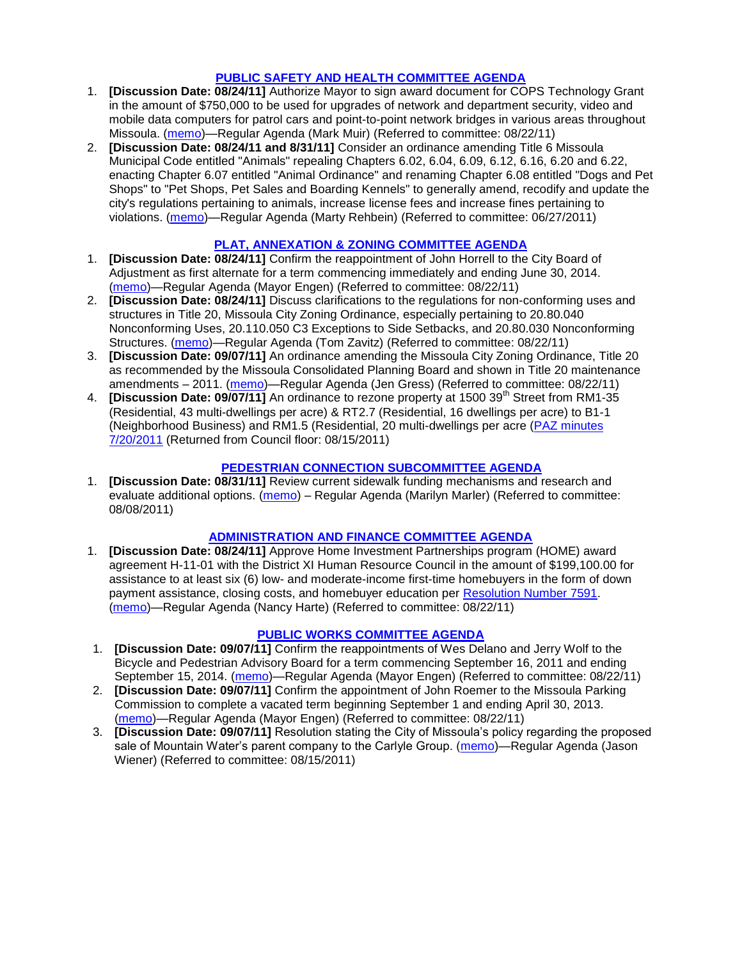### **[PUBLIC SAFETY AND HEALTH COMMITTEE AGENDA](http://www.ci.missoula.mt.us/DocumentCenterii.aspx?FID=836)**

- 1. **[Discussion Date: 08/24/11]** Authorize Mayor to sign award document for COPS Technology Grant in the amount of \$750,000 to be used for upgrades of network and department security, video and mobile data computers for patrol cars and point-to-point network bridges in various areas throughout Missoula. [\(memo\)](http://www.ci.missoula.mt.us/DocumentView.aspx?DID=7137)—Regular Agenda (Mark Muir) (Referred to committee: 08/22/11)
- 2. **[Discussion Date: 08/24/11 and 8/31/11]** Consider an ordinance amending Title 6 Missoula Municipal Code entitled "Animals" repealing Chapters 6.02, 6.04, 6.09, 6.12, 6.16, 6.20 and 6.22, enacting Chapter 6.07 entitled "Animal Ordinance" and renaming Chapter 6.08 entitled "Dogs and Pet Shops" to "Pet Shops, Pet Sales and Boarding Kennels" to generally amend, recodify and update the city's regulations pertaining to animals, increase license fees and increase fines pertaining to violations. [\(memo\)](http://www.ci.missoula.mt.us/DocumentView.aspx?DID=6698)—Regular Agenda (Marty Rehbein) (Referred to committee: 06/27/2011)

## **[PLAT, ANNEXATION & ZONING COMMITTEE AGENDA](http://www.ci.missoula.mt.us/DocumentCenterii.aspx?FID=831)**

- 1. **[Discussion Date: 08/24/11]** Confirm the reappointment of John Horrell to the City Board of Adjustment as first alternate for a term commencing immediately and ending June 30, 2014. [\(memo\)](http://www.ci.missoula.mt.us/DocumentView.aspx?DID=7135)—Regular Agenda (Mayor Engen) (Referred to committee: 08/22/11)
- 2. **[Discussion Date: 08/24/11]** Discuss clarifications to the regulations for non-conforming uses and structures in Title 20, Missoula City Zoning Ordinance, especially pertaining to 20.80.040 Nonconforming Uses, 20.110.050 C3 Exceptions to Side Setbacks, and 20.80.030 Nonconforming Structures. [\(memo\)](http://www.ci.missoula.mt.us/DocumentView.aspx?DID=7140)—Regular Agenda (Tom Zavitz) (Referred to committee: 08/22/11)
- 3. **[Discussion Date: 09/07/11]** An ordinance amending the Missoula City Zoning Ordinance, Title 20 as recommended by the Missoula Consolidated Planning Board and shown in Title 20 maintenance amendments – 2011. [\(memo\)](http://www.ci.missoula.mt.us/DocumentView.aspx?DID=7143)—Regular Agenda (Jen Gress) (Referred to committee: 08/22/11)
- 4. **[Discussion Date: 09/07/11]** An ordinance to rezone property at 1500 39<sup>th</sup> Street from RM1-35 (Residential, 43 multi-dwellings per acre) & RT2.7 (Residential, 16 dwellings per acre) to B1-1 (Neighborhood Business) and RM1.5 (Residential, 20 multi-dwellings per acre [\(PAZ minutes](http://www.ci.missoula.mt.us/Archive.aspx?ADID=4214)  [7/20/2011](http://www.ci.missoula.mt.us/Archive.aspx?ADID=4214) (Returned from Council floor: 08/15/2011)

### **[PEDESTRIAN CONNECTION SUBCOMMITTEE AGENDA](http://www.ci.missoula.mt.us/DocumentCenterii.aspx?FID=845)**

1. **[Discussion Date: 08/31/11]** Review current sidewalk funding mechanisms and research and evaluate additional options. [\(memo\)](http://www.ci.missoula.mt.us/DocumentView.aspx?DID=7017) – Regular Agenda (Marilyn Marler) (Referred to committee: 08/08/2011)

## **[ADMINISTRATION AND FINANCE COMMITTEE AGENDA](http://www.ci.missoula.mt.us/DocumentCenterii.aspx?FID=830)**

1. **[Discussion Date: 08/24/11]** Approve Home Investment Partnerships program (HOME) award agreement H-11-01 with the District XI Human Resource Council in the amount of \$199,100.00 for assistance to at least six (6) low- and moderate-income first-time homebuyers in the form of down payment assistance, closing costs, and homebuyer education per [Resolution Number 7591.](http://www.ci.missoula.mt.us/DocumentView.aspx?DID=7114) [\(memo\)](http://www.ci.missoula.mt.us/DocumentView.aspx?DID=7138)—Regular Agenda (Nancy Harte) (Referred to committee: 08/22/11)

## **[PUBLIC WORKS COMMITTEE AGENDA](http://www.ci.missoula.mt.us/DocumentCenterii.aspx?FID=833)**

- 1. **[Discussion Date: 09/07/11]** Confirm the reappointments of Wes Delano and Jerry Wolf to the Bicycle and Pedestrian Advisory Board for a term commencing September 16, 2011 and ending September 15, 2014. [\(memo\)](http://www.ci.missoula.mt.us/DocumentView.aspx?DID=7136)—Regular Agenda (Mayor Engen) (Referred to committee: 08/22/11)
- 2. **[Discussion Date: 09/07/11]** Confirm the appointment of John Roemer to the Missoula Parking Commission to complete a vacated term beginning September 1 and ending April 30, 2013. [\(memo\)](http://www.ci.missoula.mt.us/DocumentView.aspx?DID=7141)—Regular Agenda (Mayor Engen) (Referred to committee: 08/22/11)
- 3. **[Discussion Date: 09/07/11]** Resolution stating the City of Missoula's policy regarding the proposed sale of Mountain Water's parent company to the Carlyle Group. [\(memo\)](http://www.ci.missoula.mt.us/DocumentView.aspx?DID=7078)—Regular Agenda (Jason Wiener) (Referred to committee: 08/15/2011)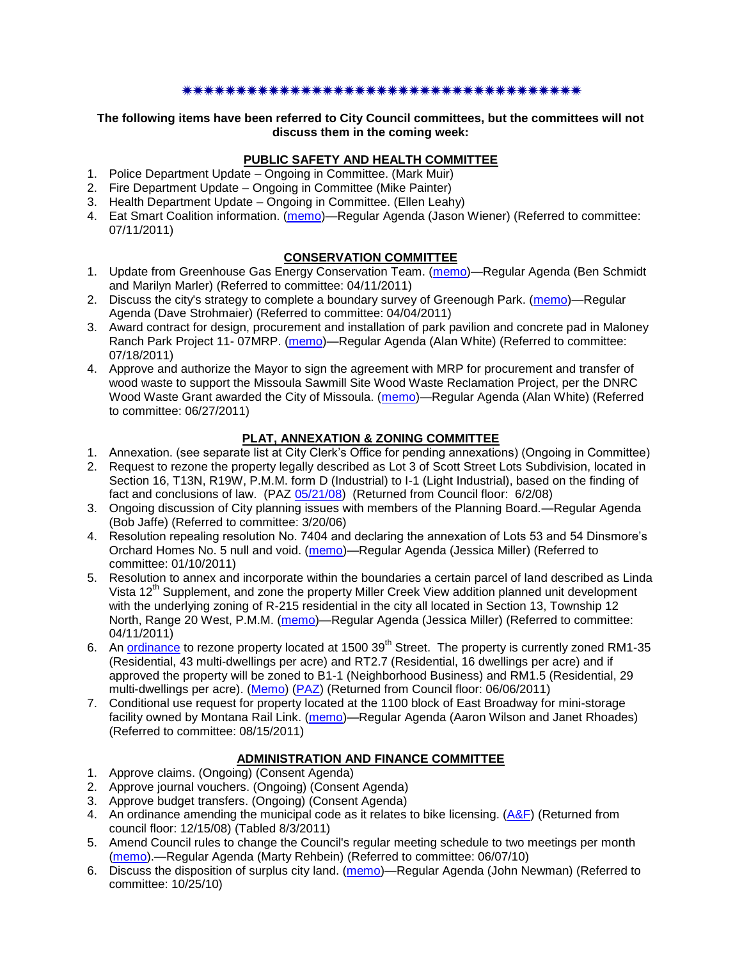### \*\*\*\*\*\*\*\*\*\*\*\*\*\*\*\*\*\*\*\*\*\*\*\*\*\*\*\*\*\*\*\*\*

#### **The following items have been referred to City Council committees, but the committees will not discuss them in the coming week:**

# **PUBLIC SAFETY AND HEALTH COMMITTEE**

- 1. Police Department Update Ongoing in Committee. (Mark Muir)
- 2. Fire Department Update Ongoing in Committee (Mike Painter)
- 3. Health Department Update Ongoing in Committee. (Ellen Leahy)
- 4. Eat Smart Coalition information. [\(memo\)](http://www.ci.missoula.mt.us/DocumentView.aspx?DID=6776)—Regular Agenda (Jason Wiener) (Referred to committee: 07/11/2011)

## **CONSERVATION COMMITTEE**

- 1. Update from Greenhouse Gas Energy Conservation Team. [\(memo\)](http://www.ci.missoula.mt.us/DocumentView.aspx?DID=5945)—Regular Agenda (Ben Schmidt and Marilyn Marler) (Referred to committee: 04/11/2011)
- 2. Discuss the city's strategy to complete a boundary survey of Greenough Park. [\(memo\)](http://www.ci.missoula.mt.us/DocumentView.aspx?DID=5875)—Regular Agenda (Dave Strohmaier) (Referred to committee: 04/04/2011)
- 3. Award contract for design, procurement and installation of park pavilion and concrete pad in Maloney Ranch Park Project 11- 07MRP. [\(memo\)](http://www.ci.missoula.mt.us/DocumentView.aspx?DID=6859)—Regular Agenda (Alan White) (Referred to committee: 07/18/2011)
- 4. Approve and authorize the Mayor to sign the agreement with MRP for procurement and transfer of wood waste to support the Missoula Sawmill Site Wood Waste Reclamation Project, per the DNRC Wood Waste Grant awarded the City of Missoula. [\(memo\)](http://www.ci.missoula.mt.us/DocumentView.aspx?DID=6682)—Regular Agenda (Alan White) (Referred to committee: 06/27/2011)

# **PLAT, ANNEXATION & ZONING COMMITTEE**

- 1. Annexation. (see separate list at City Clerk's Office for pending annexations) (Ongoing in Committee)
- 2. Request to rezone the property legally described as Lot 3 of Scott Street Lots Subdivision, located in Section 16, T13N, R19W, P.M.M. form D (Industrial) to I-1 (Light Industrial), based on the finding of fact and conclusions of law. (PAZ [05/21/08\)](ftp://ftp.ci.missoula.mt.us/Packets/Council/2008/2008-06-02/080521paz.pdf) (Returned from Council floor: 6/2/08)
- 3. Ongoing discussion of City planning issues with members of the Planning Board.—Regular Agenda (Bob Jaffe) (Referred to committee: 3/20/06)
- 4. Resolution repealing resolution No. 7404 and declaring the annexation of Lots 53 and 54 Dinsmore's Orchard Homes No. 5 null and void. [\(memo\)](http://www.ci.missoula.mt.us/DocumentView.aspx?DID=5349)—Regular Agenda (Jessica Miller) (Referred to committee: 01/10/2011)
- 5. Resolution to annex and incorporate within the boundaries a certain parcel of land described as Linda Vista 12<sup>th</sup> Supplement, and zone the property Miller Creek View addition planned unit development with the underlying zoning of R-215 residential in the city all located in Section 13, Township 12 North, Range 20 West, P.M.M. [\(memo\)](http://www.ci.missoula.mt.us/DocumentView.aspx?DID=5992)—Regular Agenda (Jessica Miller) (Referred to committee: 04/11/2011)
- 6. An [ordinance](http://www.ci.missoula.mt.us/DocumentView.aspx?DID=6463) to rezone property located at 1500 39<sup>th</sup> Street. The property is currently zoned RM1-35 (Residential, 43 multi-dwellings per acre) and RT2.7 (Residential, 16 dwellings per acre) and if approved the property will be zoned to B1-1 (Neighborhood Business) and RM1.5 (Residential, 29 multi-dwellings per acre). [\(Memo\)](http://www.ci.missoula.mt.us/DocumentView.aspx?DID=6469) [\(PAZ\)](http://www.ci.missoula.mt.us/Archive.aspx?ADID=4010) (Returned from Council floor: 06/06/2011)
- 7. Conditional use request for property located at the 1100 block of East Broadway for mini-storage facility owned by Montana Rail Link. [\(memo\)](http://www.ci.missoula.mt.us/DocumentView.aspx?DID=7067)—Regular Agenda (Aaron Wilson and Janet Rhoades) (Referred to committee: 08/15/2011)

## **ADMINISTRATION AND FINANCE COMMITTEE**

- 1. Approve claims. (Ongoing) (Consent Agenda)
- 2. Approve journal vouchers. (Ongoing) (Consent Agenda)
- 3. Approve budget transfers. (Ongoing) (Consent Agenda)
- 4. An ordinance amending the municipal code as it relates to bike licensing. [\(A&F\)](ftp://ftp.ci.missoula.mt.us/Packets/Council/2008/2008-12-15/081210af.pdf) (Returned from council floor: 12/15/08) (Tabled 8/3/2011)
- 5. Amend Council rules to change the Council's regular meeting schedule to two meetings per month [\(memo\)](http://www.ci.missoula.mt.us/DocumentView.aspx?DID=4027).—Regular Agenda (Marty Rehbein) (Referred to committee: 06/07/10)
- 6. Discuss the disposition of surplus city land. [\(memo\)](http://www.ci.missoula.mt.us/DocumentView.aspx?DID=4862)—Regular Agenda (John Newman) (Referred to committee: 10/25/10)